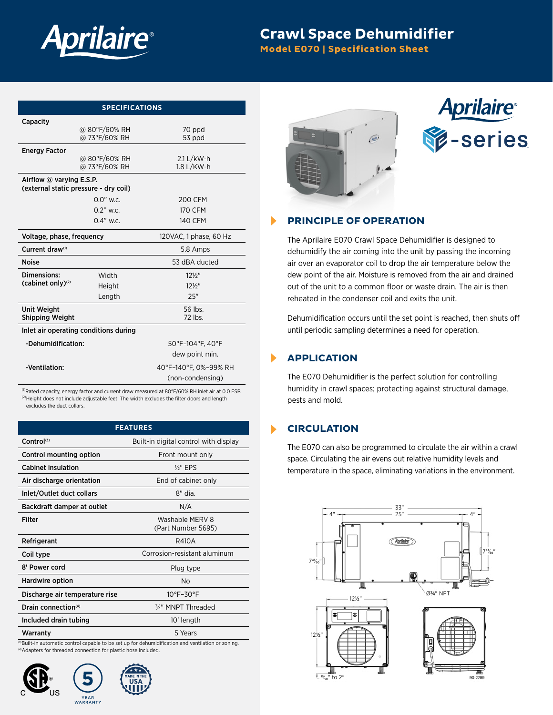

# **Crawl Space Dehumidifier**

**Model E070 | Specification Sheet**

| <b>SPECIFICATIONS</b>                                                    |                                |                          |  |  |
|--------------------------------------------------------------------------|--------------------------------|--------------------------|--|--|
| Capacity                                                                 |                                |                          |  |  |
|                                                                          | @ 80°F/60% RH                  | 70 ppd                   |  |  |
|                                                                          | @ 73°F/60% RH                  | 53 ppd                   |  |  |
| <b>Energy Factor</b>                                                     |                                |                          |  |  |
|                                                                          | @ 80°F/60% RH<br>@ 73°F/60% RH | 2.1 L/kW-h<br>1.8 L/KW-h |  |  |
|                                                                          |                                |                          |  |  |
| Airflow $\omega$ varying E.S.P.<br>(external static pressure - dry coil) |                                |                          |  |  |
|                                                                          | $0.0"$ w.c.                    | 200 CFM                  |  |  |
|                                                                          | $0.2$ " w.c.                   | <b>170 CFM</b>           |  |  |
|                                                                          | $0.4"$ w.c.                    | <b>140 CFM</b>           |  |  |
| Voltage, phase, frequency                                                |                                | 120VAC, 1 phase, 60 Hz   |  |  |
| Current draw <sup>(1)</sup>                                              |                                | 5.8 Amps                 |  |  |
| <b>Noise</b>                                                             |                                | 53 dBA ducted            |  |  |
| Dimensions:                                                              | Width                          | $12\frac{1}{2}$          |  |  |
| (cabinet only) $(2)$                                                     | Height                         | $12\frac{1}{2}$          |  |  |
|                                                                          | Length                         | 25"                      |  |  |
| Unit Weight                                                              |                                | 56 lbs.                  |  |  |
| <b>Shipping Weight</b>                                                   |                                | 72 lbs.                  |  |  |
| Inlet air operating conditions during                                    |                                |                          |  |  |
| -Dehumidification:                                                       |                                | 50°F-104°F, 40°F         |  |  |
|                                                                          |                                | dew point min.           |  |  |
| -Ventilation:                                                            |                                | 40°F-140°F, 0%-99% RH    |  |  |
|                                                                          |                                | (non-condensing)         |  |  |

<sup>(1)</sup>Rated capacity, energy factor and current draw measured at 80°F/60% RH inlet air at 0.0 ESP. <sup>(2)</sup>Height does not include adjustable feet. The width excludes the filter doors and length excludes the duct collars.

| <b>FEATURES</b>                                                                                              |                                       |  |  |
|--------------------------------------------------------------------------------------------------------------|---------------------------------------|--|--|
| Control <sup>(3)</sup>                                                                                       | Built-in digital control with display |  |  |
| Control mounting option                                                                                      | Front mount only                      |  |  |
| <b>Cabinet insulation</b>                                                                                    | $1/2"$ EPS                            |  |  |
| Air discharge orientation                                                                                    | End of cabinet only                   |  |  |
| Inlet/Outlet duct collars                                                                                    | 8" dia.                               |  |  |
| Backdraft damper at outlet                                                                                   | N/A                                   |  |  |
| Filter                                                                                                       | Washable MERV 8<br>(Part Number 5695) |  |  |
| Refrigerant                                                                                                  | <b>R410A</b>                          |  |  |
| Coil type                                                                                                    | Corrosion-resistant aluminum          |  |  |
| 8' Power cord                                                                                                | Plug type                             |  |  |
| Hardwire option                                                                                              | No                                    |  |  |
| Discharge air temperature rise                                                                               | $10^{\circ}$ F-30 $^{\circ}$ F        |  |  |
| Drain connection <sup>(4)</sup>                                                                              | 3/4" MNPT Threaded                    |  |  |
| Included drain tubing                                                                                        | 10' length                            |  |  |
| Warranty                                                                                                     | 5 Years                               |  |  |
| <sup>3</sup> Built-in automatic control capable to be set up for dehumidification and ventilation or zoning. |                                       |  |  |

<sup>(3)</sup>Built-in automatic control capable to be set up for dehumidification and ventilation or zoning. (4)Adapters for threaded connection for plastic hose included.









### **PRINCIPLE OF OPERATION**

The Aprilaire E070 Crawl Space Dehumidifier is designed to dehumidify the air coming into the unit by passing the incoming air over an evaporator coil to drop the air temperature below the dew point of the air. Moisture is removed from the air and drained out of the unit to a common floor or waste drain. The air is then reheated in the condenser coil and exits the unit.

Dehumidification occurs until the set point is reached, then shuts off until periodic sampling determines a need for operation.

## **APPLICATION**

▶

ь

The E070 Dehumidifier is the perfect solution for controlling humidity in crawl spaces; protecting against structural damage, pests and mold.

#### ▶ **CIRCULATION**

The E070 can also be programmed to circulate the air within a crawl space. Circulating the air evens out relative humidity levels and temperature in the space, eliminating variations in the environment.